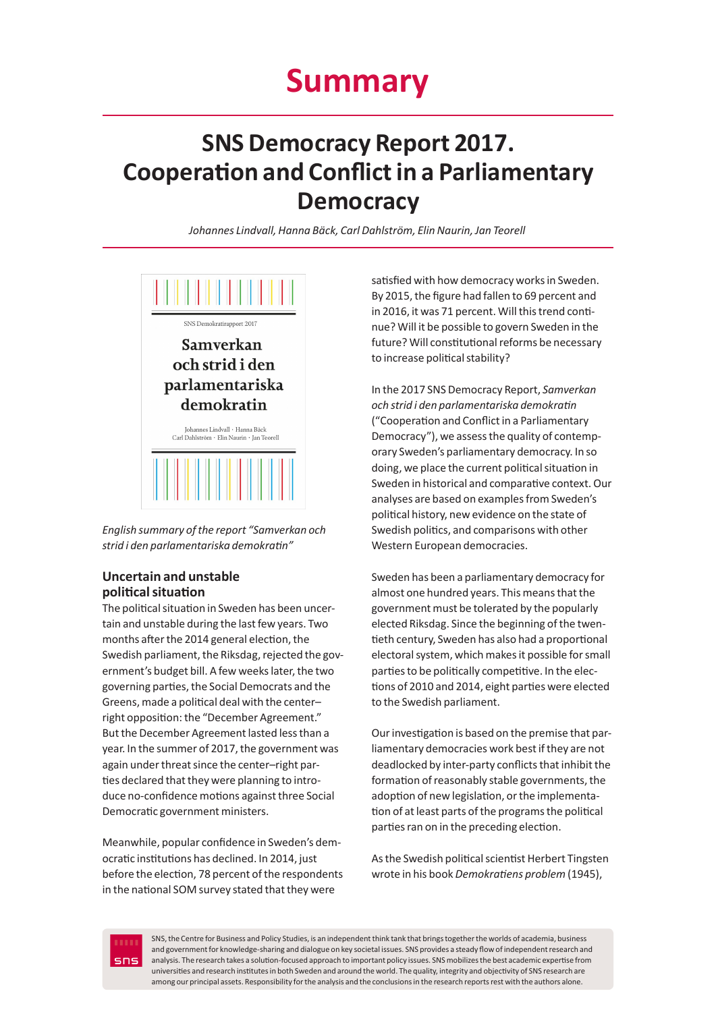# **SNS Democracy Report 2017. Cooperation and Conflict in a Parliamentary Democracy**

*Johannes Lindvall, Hanna Bäck, Carl Dahlström, Elin Naurin, Jan Teorell*



*English summary of the report "Samverkan och strid i den parlamentariska demokratin"*

# **Uncertain and unstable political situation**

The political situation in Sweden has been uncertain and unstable during the last few years. Two months after the 2014 general election, the Swedish parliament, the Riksdag, rejected the government's budget bill. A few weeks later, the two governing parties, the Social Democrats and the Greens, made a political deal with the center– right opposition: the "December Agreement." But the December Agreement lasted less than a year. In the summer of 2017, the government was again under threat since the center–right parties declared that they were planning to introduce no-confidence motions against three Social Democratic government ministers.

Meanwhile, popular confidence in Sweden's democratic institutions has declined. In 2014, just before the election, 78 percent of the respondents in the national SOM survey stated that they were

satisfied with how democracy works in Sweden. By 2015, the figure had fallen to 69 percent and in 2016, it was 71 percent. Will this trend continue? Will it be possible to govern Sweden in the future? Will constitutional reforms be necessary to increase political stability?

In the 2017 SNS Democracy Report, *Samverkan och strid i den parlamentariska demokratin*  ("Cooperation and Conflict in a Parliamentary Democracy"), we assess the quality of contemporary Sweden's parliamentary democracy. In so doing, we place the current political situation in Sweden in historical and comparative context. Our analyses are based on examples from Sweden's political history, new evidence on the state of Swedish politics, and comparisons with other Western European democracies.

Sweden has been a parliamentary democracy for almost one hundred years. This means that the government must be tolerated by the popularly elected Riksdag. Since the beginning of the twentieth century, Sweden has also had a proportional electoral system, which makes it possible for small parties to be politically competitive. In the elections of 2010 and 2014, eight parties were elected to the Swedish parliament.

Our investigation is based on the premise that parliamentary democracies work best if they are not deadlocked by inter-party conflicts that inhibit the formation of reasonably stable governments, the adoption of new legislation, or the implementation of at least parts of the programs the political parties ran on in the preceding election.

As the Swedish political scientist Herbert Tingsten wrote in his book *Demokratiens problem* (1945),



1 analysis. The research takes a solution-focused approach to important policy issues. SNS mobilizes the best academic expertise from SNS, the Centre for Business and Policy Studies, is an independent think tank that brings together the worlds of academia, business and government for knowledge-sharing and dialogue on key societal issues. SNS provides a steady flow of independent research and universities and research institutes in both Sweden and around the world. The quality, integrity and objectivity of SNS research are among our principal assets. Responsibility for the analysis and the conclusions in the research reports rest with the authors alone.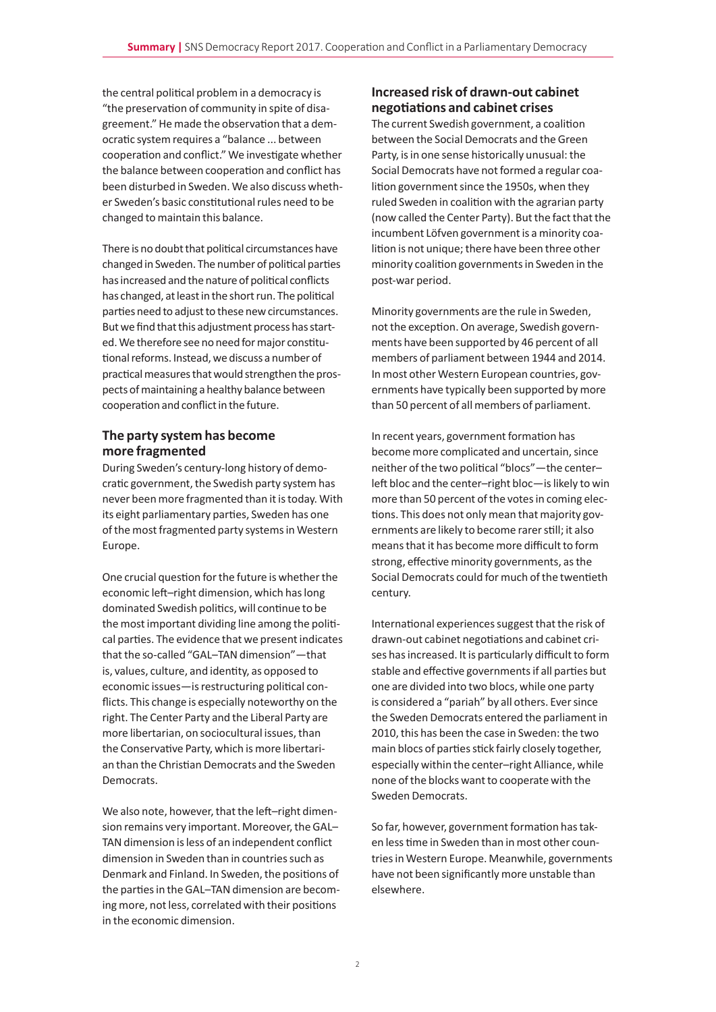the central political problem in a democracy is "the preservation of community in spite of disagreement." He made the observation that a democratic system requires a "balance ... between cooperation and conflict." We investigate whether the balance between cooperation and conflict has been disturbed in Sweden. We also discuss whether Sweden's basic constitutional rules need to be changed to maintain this balance.

There is no doubt that political circumstances have changed in Sweden. The number of political parties has increased and the nature of political conflicts has changed, at least in the short run. The political parties need to adjust to these new circumstances. But we find that this adjustment process has started. We therefore see no need for major constitutional reforms. Instead, we discuss a number of practical measures that would strengthen the prospects of maintaining a healthy balance between cooperation and conflict in the future.

### **The party system has become more fragmented**

During Sweden's century-long history of democratic government, the Swedish party system has never been more fragmented than it is today. With its eight parliamentary parties, Sweden has one of the most fragmented party systems in Western Europe.

One crucial question for the future is whether the economic left–right dimension, which has long dominated Swedish politics, will continue to be the most important dividing line among the political parties. The evidence that we present indicates that the so-called "GAL–TAN dimension"—that is, values, culture, and identity, as opposed to economic issues—is restructuring political conflicts. This change is especially noteworthy on the right. The Center Party and the Liberal Party are more libertarian, on sociocultural issues, than the Conservative Party, which is more libertarian than the Christian Democrats and the Sweden Democrats.

We also note, however, that the left-right dimension remains very important. Moreover, the GAL– TAN dimension is less of an independent conflict dimension in Sweden than in countries such as Denmark and Finland. In Sweden, the positions of the parties in the GAL–TAN dimension are becoming more, not less, correlated with their positions in the economic dimension.

# **Increased risk of drawn-out cabinet negotiations and cabinet crises**

The current Swedish government, a coalition between the Social Democrats and the Green Party, is in one sense historically unusual: the Social Democrats have not formed a regular coalition government since the 1950s, when they ruled Sweden in coalition with the agrarian party (now called the Center Party). But the fact that the incumbent Löfven government is a minority coalition is not unique; there have been three other minority coalition governments in Sweden in the post-war period.

Minority governments are the rule in Sweden, not the exception. On average, Swedish governments have been supported by 46 percent of all members of parliament between 1944 and 2014. In most other Western European countries, governments have typically been supported by more than 50 percent of all members of parliament.

In recent years, government formation has become more complicated and uncertain, since neither of the two political "blocs"—the center– left bloc and the center–right bloc—is likely to win more than 50 percent of the votes in coming elections. This does not only mean that majority governments are likely to become rarer still; it also means that it has become more difficult to form strong, effective minority governments, as the Social Democrats could for much of the twentieth century.

International experiences suggest that the risk of drawn-out cabinet negotiations and cabinet crises has increased. It is particularly difficult to form stable and effective governments if all parties but one are divided into two blocs, while one party is considered a "pariah" by all others. Ever since the Sweden Democrats entered the parliament in 2010, this has been the case in Sweden: the two main blocs of parties stick fairly closely together, especially within the center–right Alliance, while none of the blocks want to cooperate with the Sweden Democrats.

So far, however, government formation has taken less time in Sweden than in most other countries in Western Europe. Meanwhile, governments have not been significantly more unstable than elsewhere.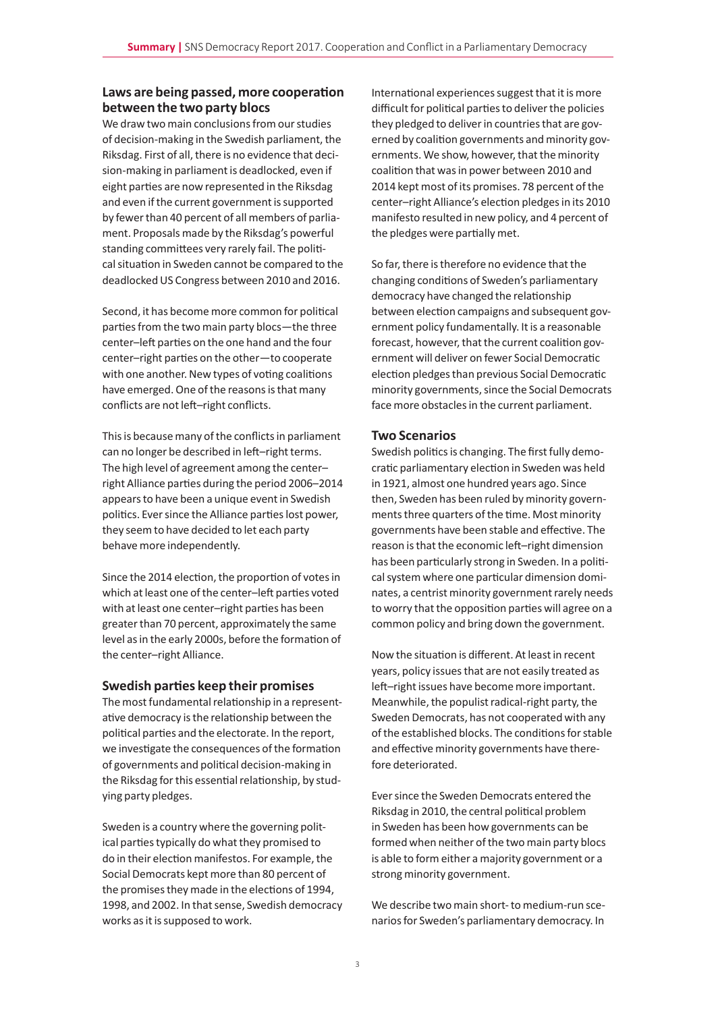## **Laws are being passed, more cooperation between the two party blocs**

We draw two main conclusions from our studies of decision-making in the Swedish parliament, the Riksdag. First of all, there is no evidence that decision-making in parliament is deadlocked, even if eight parties are now represented in the Riksdag and even if the current government is supported by fewer than 40 percent of all members of parliament. Proposals made by the Riksdag's powerful standing committees very rarely fail. The political situation in Sweden cannot be compared to the deadlocked US Congress between 2010 and 2016.

Second, it has become more common for political parties from the two main party blocs—the three center–left parties on the one hand and the four center–right parties on the other—to cooperate with one another. New types of voting coalitions have emerged. One of the reasons is that many conflicts are not left–right conflicts.

This is because many of the conflicts in parliament can no longer be described in left–right terms. The high level of agreement among the center– right Alliance parties during the period 2006–2014 appears to have been a unique event in Swedish politics. Ever since the Alliance parties lost power, they seem to have decided to let each party behave more independently.

Since the 2014 election, the proportion of votes in which at least one of the center–left parties voted with at least one center–right parties has been greater than 70 percent, approximately the same level as in the early 2000s, before the formation of the center–right Alliance.

#### **Swedish parties keep their promises**

The most fundamental relationship in a representative democracy is the relationship between the political parties and the electorate. In the report, we investigate the consequences of the formation of governments and political decision-making in the Riksdag for this essential relationship, by studying party pledges.

Sweden is a country where the governing political parties typically do what they promised to do in their election manifestos. For example, the Social Democrats kept more than 80 percent of the promises they made in the elections of 1994, 1998, and 2002. In that sense, Swedish democracy works as it is supposed to work.

International experiences suggest that it is more difficult for political parties to deliver the policies they pledged to deliver in countries that are governed by coalition governments and minority governments. We show, however, that the minority coalition that was in power between 2010 and 2014 kept most of its promises. 78 percent of the center–right Alliance's election pledges in its 2010 manifesto resulted in new policy, and 4 percent of the pledges were partially met.

So far, there is therefore no evidence that the changing conditions of Sweden's parliamentary democracy have changed the relationship between election campaigns and subsequent government policy fundamentally. It is a reasonable forecast, however, that the current coalition government will deliver on fewer Social Democratic election pledges than previous Social Democratic minority governments, since the Social Democrats face more obstacles in the current parliament.

#### **Two Scenarios**

Swedish politics is changing. The first fully democratic parliamentary election in Sweden was held in 1921, almost one hundred years ago. Since then, Sweden has been ruled by minority governments three quarters of the time. Most minority governments have been stable and effective. The reason is that the economic left–right dimension has been particularly strong in Sweden. In a political system where one particular dimension dominates, a centrist minority government rarely needs to worry that the opposition parties will agree on a common policy and bring down the government.

Now the situation is different. At least in recent years, policy issues that are not easily treated as left–right issues have become more important. Meanwhile, the populist radical-right party, the Sweden Democrats, has not cooperated with any of the established blocks. The conditions for stable and effective minority governments have therefore deteriorated.

Ever since the Sweden Democrats entered the Riksdag in 2010, the central political problem in Sweden has been how governments can be formed when neither of the two main party blocs is able to form either a majority government or a strong minority government.

We describe two main short- to medium-run scenarios for Sweden's parliamentary democracy. In